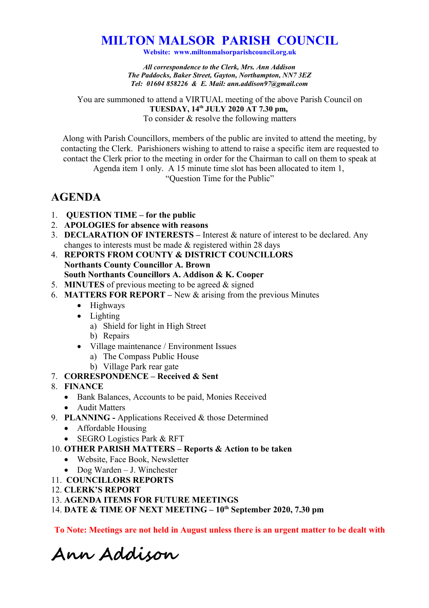## **MILTON MALSOR PARISH COUNCIL**

**Website: www.miltonmalsorparishcouncil.org.uk**

*All correspondence to the Clerk, Mrs. Ann Addison The Paddocks, Baker Street, Gayton, Northampton, NN7 3EZ Tel: 01604 858226 & E. Mail: ann.addison97@gmail.com*

You are summoned to attend a VIRTUAL meeting of the above Parish Council on **TUESDAY, 14th JULY 2020 AT 7.30 pm,**  To consider & resolve the following matters

Along with Parish Councillors, members of the public are invited to attend the meeting, by contacting the Clerk. Parishioners wishing to attend to raise a specific item are requested to contact the Clerk prior to the meeting in order for the Chairman to call on them to speak at Agenda item 1 only. A 15 minute time slot has been allocated to item 1,

"Question Time for the Public"

## **AGENDA**

- 1. **QUESTION TIME for the public**
- 2. **APOLOGIES for absence with reasons**
- 3. **DECLARATION OF INTERESTS** Interest & nature of interest to be declared. Any changes to interests must be made & registered within 28 days
- 4. **REPORTS FROM COUNTY & DISTRICT COUNCILLORS Northants County Councillor A. Brown South Northants Councillors A. Addison & K. Cooper**
- 5. **MINUTES** of previous meeting to be agreed & signed
- 6. **MATTERS FOR REPORT** New & arising from the previous Minutes
	- Highways
	- Lighting
		- a) Shield for light in High Street
		- b) Repairs
	- Village maintenance / Environment Issues
		- a) The Compass Public House
		- b) Village Park rear gate

## 7. **CORRESPONDENCE – Received & Sent**

- 8. **FINANCE**
	- Bank Balances, Accounts to be paid, Monies Received
	- Audit Matters
- 9. **PLANNING** Applications Received & those Determined
	- Affordable Housing
	- SEGRO Logistics Park & RFT
- 10. **OTHER PARISH MATTERS Reports & Action to be taken**
	- Website, Face Book, Newsletter
	- Dog Warden J. Winchester
- 11. **COUNCILLORS REPORTS**
- 12. **CLERK'S REPORT**
- 13. **AGENDA ITEMS FOR FUTURE MEETINGS**
- 14. **DATE & TIME OF NEXT MEETING 10th September 2020, 7.30 pm**

**To Note: Meetings are not held in August unless there is an urgent matter to be dealt with**

**Ann Addison**